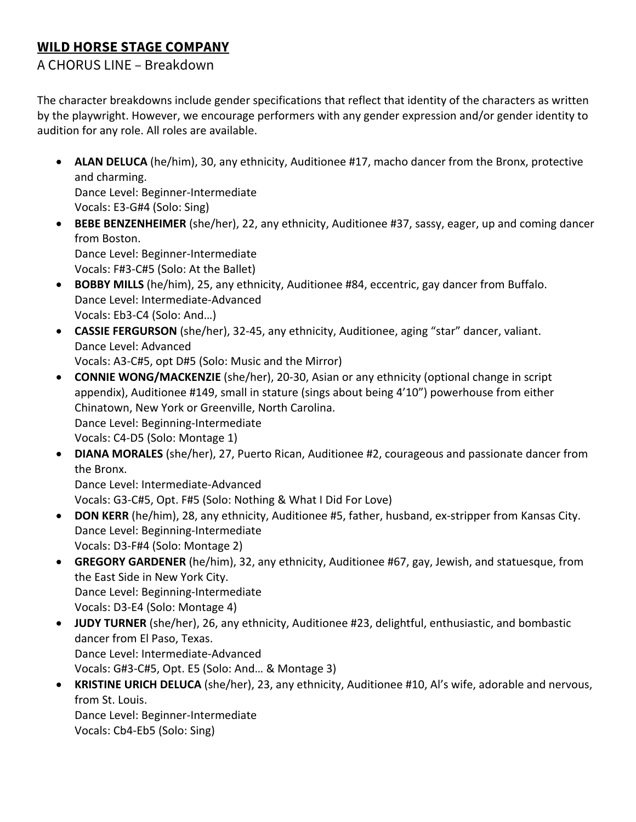## **WILD HORSE STAGE COMPANY**

## A CHORUS LINE – Breakdown

The character breakdowns include gender specifications that reflect that identity of the characters as written by the playwright. However, we encourage performers with any gender expression and/or gender identity to audition for any role. All roles are available.

• **ALAN DELUCA** (he/him), 30, any ethnicity, Auditionee #17, macho dancer from the Bronx, protective and charming. Dance Level: Beginner-Intermediate

Vocals: E3-G#4 (Solo: Sing)

• **BEBE BENZENHEIMER** (she/her), 22, any ethnicity, Auditionee #37, sassy, eager, up and coming dancer from Boston.

Dance Level: Beginner-Intermediate Vocals: F#3-C#5 (Solo: At the Ballet)

- **BOBBY MILLS** (he/him), 25, any ethnicity, Auditionee #84, eccentric, gay dancer from Buffalo. Dance Level: Intermediate-Advanced Vocals: Eb3-C4 (Solo: And…)
- **CASSIE FERGURSON** (she/her), 32-45, any ethnicity, Auditionee, aging "star" dancer, valiant. Dance Level: Advanced Vocals: A3-C#5, opt D#5 (Solo: Music and the Mirror)
- **CONNIE WONG/MACKENZIE** (she/her), 20-30, Asian or any ethnicity (optional change in script appendix), Auditionee #149, small in stature (sings about being 4'10") powerhouse from either Chinatown, New York or Greenville, North Carolina. Dance Level: Beginning-Intermediate Vocals: C4-D5 (Solo: Montage 1)
- **DIANA MORALES** (she/her), 27, Puerto Rican, Auditionee #2, courageous and passionate dancer from the Bronx.

Dance Level: Intermediate-Advanced Vocals: G3-C#5, Opt. F#5 (Solo: Nothing & What I Did For Love)

- **DON KERR** (he/him), 28, any ethnicity, Auditionee #5, father, husband, ex-stripper from Kansas City. Dance Level: Beginning-Intermediate Vocals: D3-F#4 (Solo: Montage 2)
- **GREGORY GARDENER** (he/him), 32, any ethnicity, Auditionee #67, gay, Jewish, and statuesque, from the East Side in New York City. Dance Level: Beginning-Intermediate Vocals: D3-E4 (Solo: Montage 4)
- **JUDY TURNER** (she/her), 26, any ethnicity, Auditionee #23, delightful, enthusiastic, and bombastic dancer from El Paso, Texas. Dance Level: Intermediate-Advanced Vocals: G#3-C#5, Opt. E5 (Solo: And… & Montage 3)
- **KRISTINE URICH DELUCA** (she/her), 23, any ethnicity, Auditionee #10, Al's wife, adorable and nervous, from St. Louis.

Dance Level: Beginner-Intermediate Vocals: Cb4-Eb5 (Solo: Sing)